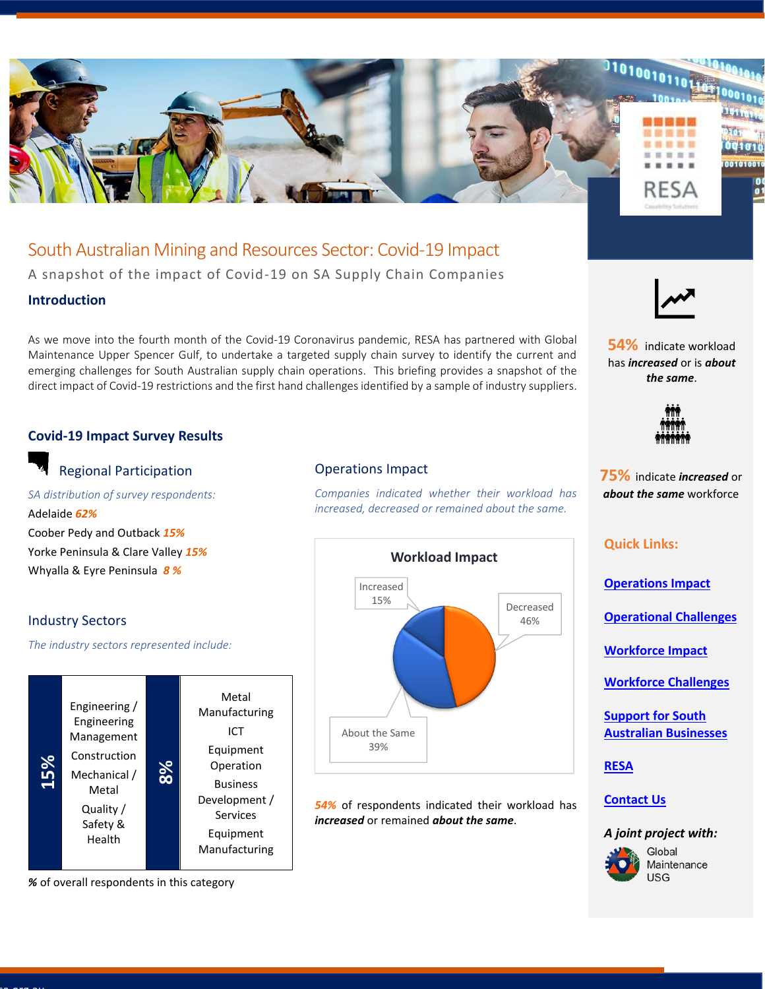

South Australian Mining and Resources Sector: Covid-19 Impact A snapshot of the impact of Covid-19 on SA Supply Chain Companies

### **Introduction**

As we move into the fourth month of the Covid-19 Coronavirus pandemic, RESA has partnered with Global Maintenance Upper Spencer Gulf, to undertake a targeted supply chain survey to identify the current and emerging challenges for South Australian supply chain operations. This briefing provides a snapshot of the direct impact of Covid-19 restrictions and the first hand challenges identified by a sample of industry suppliers.

# <span id="page-0-0"></span>**Covid-19 Impact Survey Results**

# Regional Participation

*SA distribution of survey respondents:* Adelaide *62%* Coober Pedy and Outback *15%* Yorke Peninsula & Clare Valley *15%* Whyalla & Eyre Peninsula *8 %*

### Industry Sectors

*The industry sectors represented include:*



*%* of overall respondents in this category

#### Operations Impact

*Companies indicated whether their workload has increased, decreased or remained about the same.*



*54%* of respondents indicated their workload has *increased* or remained *about the same*.



**54%** indicate workload has *increased* or is *about the same*.



**75%** indicate *increased* or *about the same* workforce

### **Quick Links:**

**[Operations Impact](#page-0-0)**

**[Operational Challenges](#page-1-0)**

**Workforce [Impact](#page-1-1)**

**[Workforce Challenges](#page-2-0)**

**[Support for South](#page-3-0)  [Australian Businesses](#page-3-0)**

**[RESA](#page-3-0)**

# **Contact Us**

### *A joint project with:*

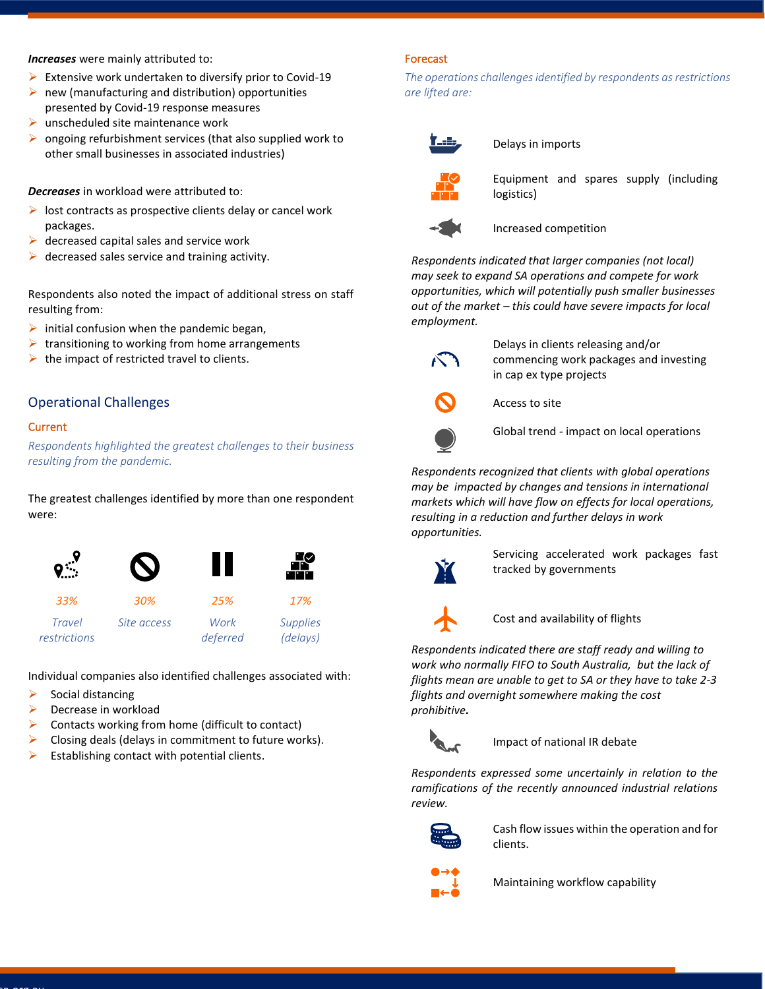#### *Increases* were mainly attributed to:

- $\triangleright$  Extensive work undertaken to diversify prior to Covid-19
- $\triangleright$  new (manufacturing and distribution) opportunities presented by Covid-19 response measures
- $\triangleright$  unscheduled site maintenance work
- $\triangleright$  ongoing refurbishment services (that also supplied work to other small businesses in associated industries)

*Decreases* in workload were attributed to:

- $\triangleright$  lost contracts as prospective clients delay or cancel work packages.
- $\triangleright$  decreased capital sales and service work
- $\triangleright$  decreased sales service and training activity.

Respondents also noted the impact of additional stress on staff resulting from:

- $\triangleright$  initial confusion when the pandemic began,
- $\triangleright$  transitioning to working from home arrangements
- $\triangleright$  the impact of restricted travel to clients.

### <span id="page-1-0"></span>Operational Challenges

#### Current

*Respondents highlighted the greatest challenges to their business resulting from the pandemic.*

The greatest challenges identified by more than one respondent were:



Individual companies also identified challenges associated with:

- $\triangleright$  Social distancing
- ➢ Decrease in workload
- $\triangleright$  Contacts working from home (difficult to contact)
- $\triangleright$  Closing deals (delays in commitment to future works).
- $\triangleright$  Establishing contact with potential clients.

#### Forecast

*The operations challenges identified by respondents as restrictions are lifted are:*



Delays in imports



Equipment and spares supply (including logistics)



Increased competition

*Respondents indicated that larger companies (not local) may seek to expand SA operations and compete for work opportunities, which will potentially push smaller businesses out of the market – this could have severe impacts for local employment.*



Delays in clients releasing and/or commencing work packages and investing in cap ex type projects



Access to site



Global trend - impact on local operations

*Respondents recognized that clients with global operations may be impacted by changes and tensions in international markets which will have flow on effects for local operations, resulting in a reduction and further delays in work opportunities.* 



Servicing accelerated work packages fast tracked by governments



Cost and availability of flights

*Respondents indicated there are staff ready and willing to work who normally FIFO to South Australia, but the lack of flights mean are unable to get to SA or they have to take 2-3 flights and overnight somewhere making the cost prohibitive.*



Impact of national IR debate

*Respondents expressed some uncertainly in relation to the ramifications of the recently announced industrial relations review.*



Cash flow issues within the operation and for clients.

<span id="page-1-1"></span>

Maintaining workflow capability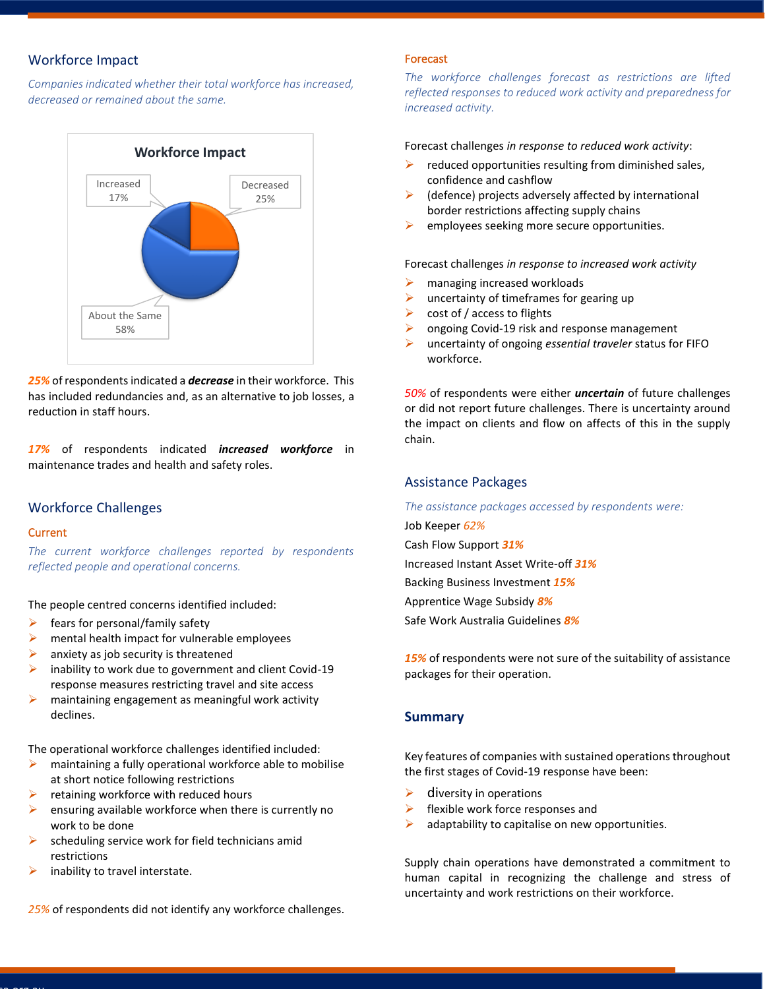# Workforce Impact

*Companies indicated whether their total workforce has increased, decreased or remained about the same.*



*25%* of respondents indicated a *decrease* in their workforce. This has included redundancies and, as an alternative to job losses, a reduction in staff hours.

*17%* of respondents indicated *increased workforce* in maintenance trades and health and safety roles.

### <span id="page-2-0"></span>Workforce Challenges

#### **Current**

*The current workforce challenges reported by respondents reflected people and operational concerns.*

The people centred concerns identified included:

- fears for personal/family safety
- $\triangleright$  mental health impact for vulnerable employees
- $\triangleright$  anxiety as job security is threatened
- inability to work due to government and client Covid-19 response measures restricting travel and site access
- ➢ maintaining engagement as meaningful work activity declines.

The operational workforce challenges identified included:

- ➢ maintaining a fully operational workforce able to mobilise at short notice following restrictions
- $\triangleright$  retaining workforce with reduced hours
- $\triangleright$  ensuring available workforce when there is currently no work to be done
- scheduling service work for field technicians amid restrictions
- $\triangleright$  inability to travel interstate.

*25%* of respondents did not identify any workforce challenges.

#### Forecast

*The workforce challenges forecast as restrictions are lifted reflected responses to reduced work activity and preparedness for increased activity.*

Forecast challenges *in response to reduced work activity*:

- $\triangleright$  reduced opportunities resulting from diminished sales, confidence and cashflow
- (defence) projects adversely affected by international border restrictions affecting supply chains
- ➢ employees seeking more secure opportunities.

Forecast challenges *in response to increased work activity*

- $\triangleright$  managing increased workloads
- $\triangleright$  uncertainty of timeframes for gearing up
- $\triangleright$  cost of / access to flights
- ➢ ongoing Covid-19 risk and response management
- ➢ uncertainty of ongoing *essential traveler* status for FIFO workforce.

*50%* of respondents were either *uncertain* of future challenges or did not report future challenges. There is uncertainty around the impact on clients and flow on affects of this in the supply chain.

#### Assistance Packages

*The assistance packages accessed by respondents were:*

Job Keeper *62%* Cash Flow Support *31%* Increased Instant Asset Write-off *31%* Backing Business Investment *15%* Apprentice Wage Subsidy *8%* Safe Work Australia Guidelines *8%*

*15%* of respondents were not sure of the suitability of assistance packages for their operation.

#### **Summary**

Key features of companies with sustained operations throughout the first stages of Covid-19 response have been:

- $\triangleright$  diversity in operations
- $\triangleright$  flexible work force responses and
- $\triangleright$  adaptability to capitalise on new opportunities.

Supply chain operations have demonstrated a commitment to human capital in recognizing the challenge and stress of uncertainty and work restrictions on their workforce.